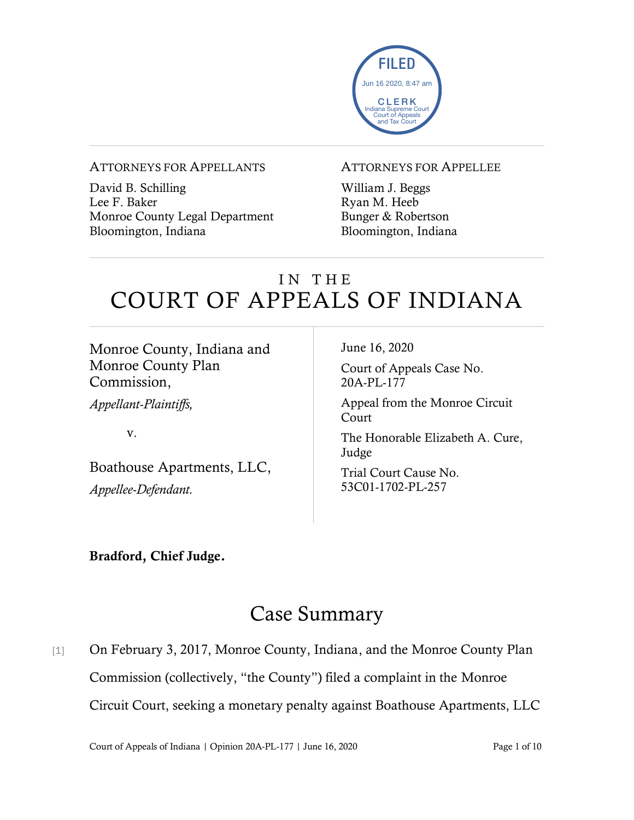

### ATTORNEYS FOR APPELLANTS

David B. Schilling Lee F. Baker Monroe County Legal Department Bloomington, Indiana

### ATTORNEYS FOR APPELLEE

William J. Beggs Ryan M. Heeb Bunger & Robertson Bloomington, Indiana

# IN THE COURT OF APPEALS OF INDIANA

Monroe County, Indiana and Monroe County Plan Commission,

*Appellant-Plaintiffs,*

v.

Boathouse Apartments, LLC, *Appellee-Defendant.*

June 16, 2020

Court of Appeals Case No. 20A-PL-177

Appeal from the Monroe Circuit Court

The Honorable Elizabeth A. Cure, Judge

Trial Court Cause No. 53C01-1702-PL-257

### Bradford, Chief Judge.

# Case Summary

[1] On February 3, 2017, Monroe County, Indiana, and the Monroe County Plan Commission (collectively, "the County") filed a complaint in the Monroe Circuit Court, seeking a monetary penalty against Boathouse Apartments, LLC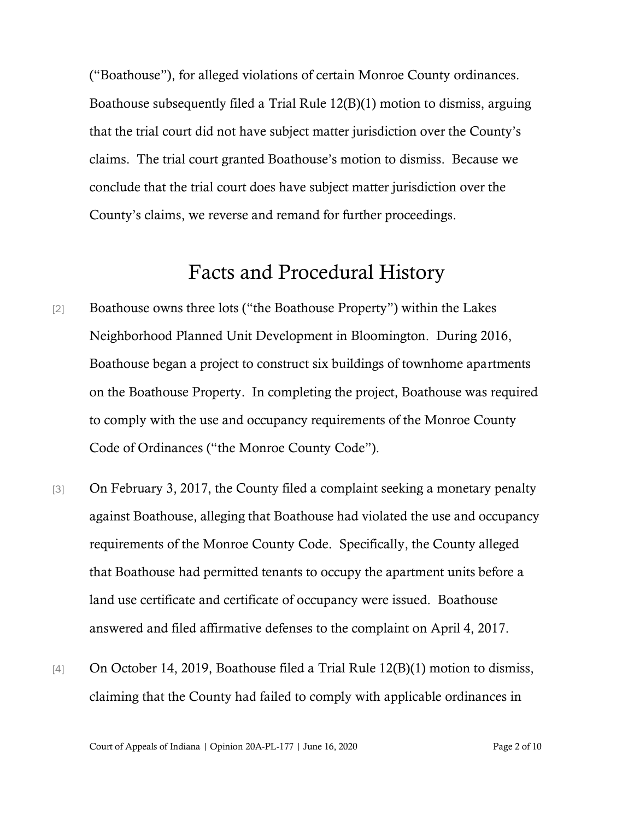("Boathouse"), for alleged violations of certain Monroe County ordinances. Boathouse subsequently filed a Trial Rule 12(B)(1) motion to dismiss, arguing that the trial court did not have subject matter jurisdiction over the County's claims. The trial court granted Boathouse's motion to dismiss. Because we conclude that the trial court does have subject matter jurisdiction over the County's claims, we reverse and remand for further proceedings.

### Facts and Procedural History

- [2] Boathouse owns three lots ("the Boathouse Property") within the Lakes Neighborhood Planned Unit Development in Bloomington. During 2016, Boathouse began a project to construct six buildings of townhome apartments on the Boathouse Property. In completing the project, Boathouse was required to comply with the use and occupancy requirements of the Monroe County Code of Ordinances ("the Monroe County Code").
- [3] On February 3, 2017, the County filed a complaint seeking a monetary penalty against Boathouse, alleging that Boathouse had violated the use and occupancy requirements of the Monroe County Code. Specifically, the County alleged that Boathouse had permitted tenants to occupy the apartment units before a land use certificate and certificate of occupancy were issued. Boathouse answered and filed affirmative defenses to the complaint on April 4, 2017.
- [4] On October 14, 2019, Boathouse filed a Trial Rule 12(B)(1) motion to dismiss, claiming that the County had failed to comply with applicable ordinances in

Court of Appeals of Indiana | Opinion 20A-PL-177 | June 16, 2020 Page 2 of 10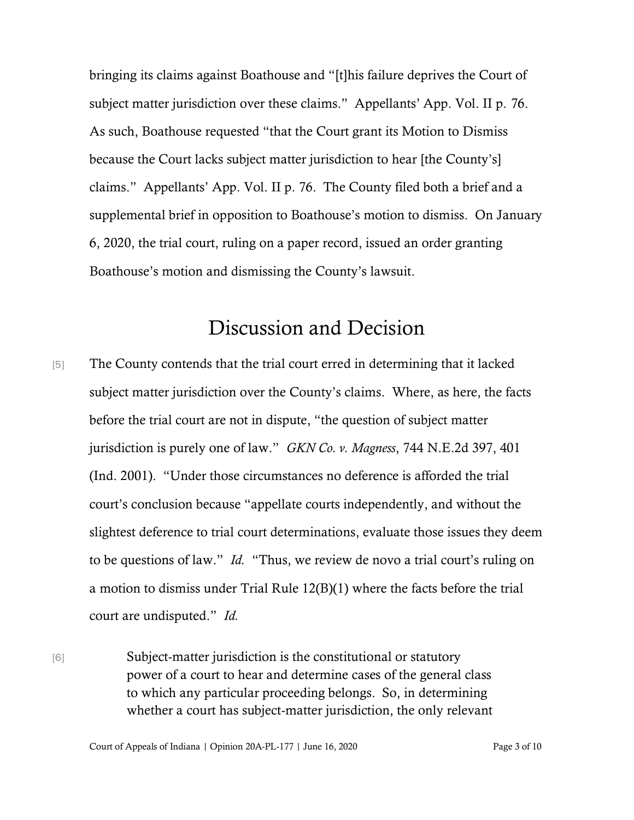bringing its claims against Boathouse and "[t]his failure deprives the Court of subject matter jurisdiction over these claims." Appellants' App. Vol. II p. 76. As such, Boathouse requested "that the Court grant its Motion to Dismiss because the Court lacks subject matter jurisdiction to hear [the County's] claims." Appellants' App. Vol. II p. 76. The County filed both a brief and a supplemental brief in opposition to Boathouse's motion to dismiss. On January 6, 2020, the trial court, ruling on a paper record, issued an order granting Boathouse's motion and dismissing the County's lawsuit.

## Discussion and Decision

[5] The County contends that the trial court erred in determining that it lacked subject matter jurisdiction over the County's claims. Where, as here, the facts before the trial court are not in dispute, "the question of subject matter jurisdiction is purely one of law." *GKN Co. v. Magness*, 744 N.E.2d 397, 401 (Ind. 2001). "Under those circumstances no deference is afforded the trial court's conclusion because "appellate courts independently, and without the slightest deference to trial court determinations, evaluate those issues they deem to be questions of law." *Id.* "Thus, we review de novo a trial court's ruling on a motion to dismiss under Trial Rule 12(B)(1) where the facts before the trial court are undisputed." *Id.*

[6] Subject-matter jurisdiction is the constitutional or statutory power of a court to hear and determine cases of the general class to which any particular proceeding belongs. So, in determining whether a court has subject-matter jurisdiction, the only relevant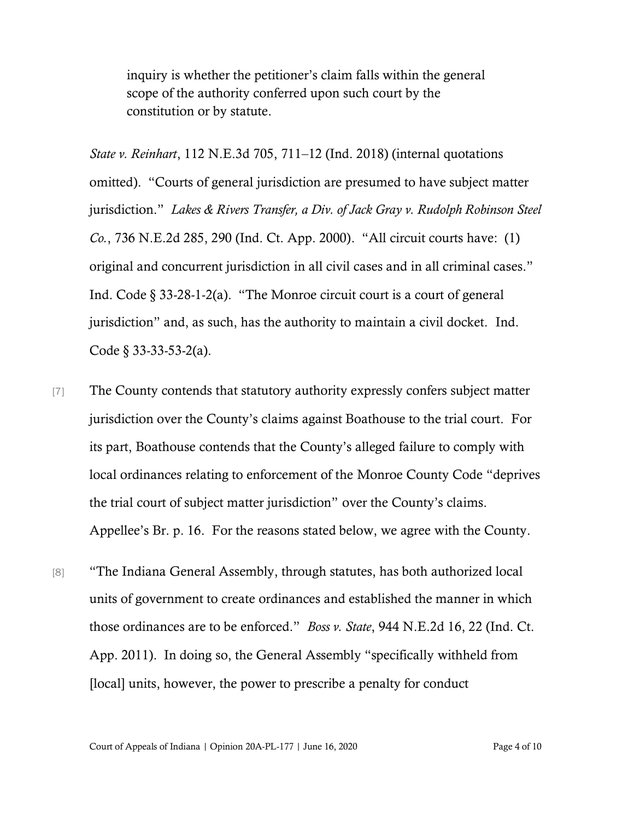inquiry is whether the petitioner's claim falls within the general scope of the authority conferred upon such court by the constitution or by statute.

*State v. Reinhart*, 112 N.E.3d 705, 711–12 (Ind. 2018) (internal quotations omitted). "Courts of general jurisdiction are presumed to have subject matter jurisdiction." *Lakes & Rivers Transfer, a Div. of Jack Gray v. Rudolph Robinson Steel Co.*, 736 N.E.2d 285, 290 (Ind. Ct. App. 2000). "All circuit courts have: (1) original and concurrent jurisdiction in all civil cases and in all criminal cases." Ind. Code § 33-28-1-2(a). "The Monroe circuit court is a court of general jurisdiction" and, as such, has the authority to maintain a civil docket. Ind. Code § 33-33-53-2(a).

[7] The County contends that statutory authority expressly confers subject matter jurisdiction over the County's claims against Boathouse to the trial court. For its part, Boathouse contends that the County's alleged failure to comply with local ordinances relating to enforcement of the Monroe County Code "deprives the trial court of subject matter jurisdiction" over the County's claims. Appellee's Br. p. 16. For the reasons stated below, we agree with the County.

[8] "The Indiana General Assembly, through statutes, has both authorized local units of government to create ordinances and established the manner in which those ordinances are to be enforced." *Boss v. State*, 944 N.E.2d 16, 22 (Ind. Ct. App. 2011). In doing so, the General Assembly "specifically withheld from [local] units, however, the power to prescribe a penalty for conduct

Court of Appeals of Indiana | Opinion 20A-PL-177 | June 16, 2020 Page 4 of 10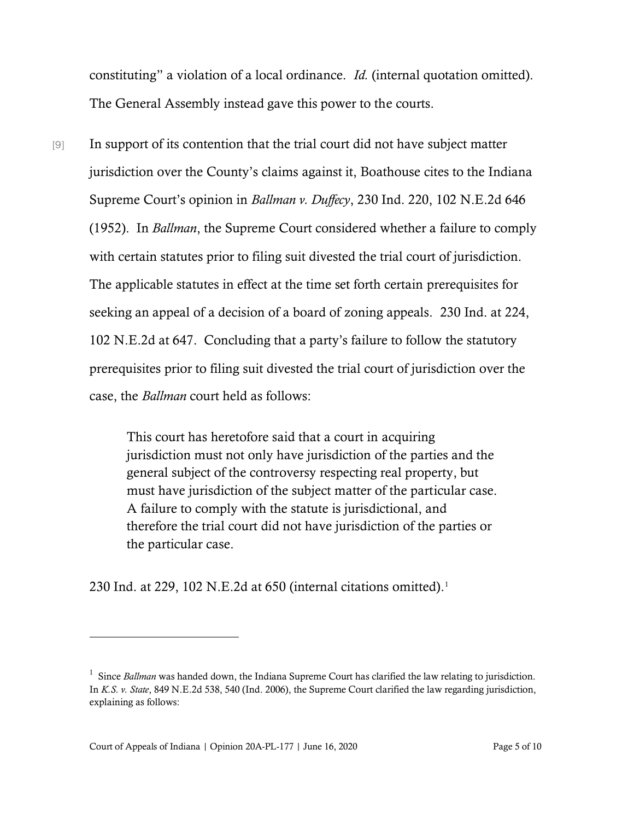constituting" a violation of a local ordinance. *Id.* (internal quotation omitted). The General Assembly instead gave this power to the courts.

[9] In support of its contention that the trial court did not have subject matter jurisdiction over the County's claims against it, Boathouse cites to the Indiana Supreme Court's opinion in *Ballman v. Duffecy*, 230 Ind. 220, 102 N.E.2d 646 (1952). In *Ballman*, the Supreme Court considered whether a failure to comply with certain statutes prior to filing suit divested the trial court of jurisdiction. The applicable statutes in effect at the time set forth certain prerequisites for seeking an appeal of a decision of a board of zoning appeals. 230 Ind. at 224, 102 N.E.2d at 647. Concluding that a party's failure to follow the statutory prerequisites prior to filing suit divested the trial court of jurisdiction over the case, the *Ballman* court held as follows:

> This court has heretofore said that a court in acquiring jurisdiction must not only have jurisdiction of the parties and the general subject of the controversy respecting real property, but must have jurisdiction of the subject matter of the particular case. A failure to comply with the statute is jurisdictional, and therefore the trial court did not have jurisdiction of the parties or the particular case.

230 Ind. at 229, 102 N.E.2d at 650 (internal citations omitted).<sup>1</sup>

<sup>&</sup>lt;sup>1</sup> Since *Ballman* was handed down, the Indiana Supreme Court has clarified the law relating to jurisdiction. In *K.S. v. State*, 849 N.E.2d 538, 540 (Ind. 2006), the Supreme Court clarified the law regarding jurisdiction, explaining as follows: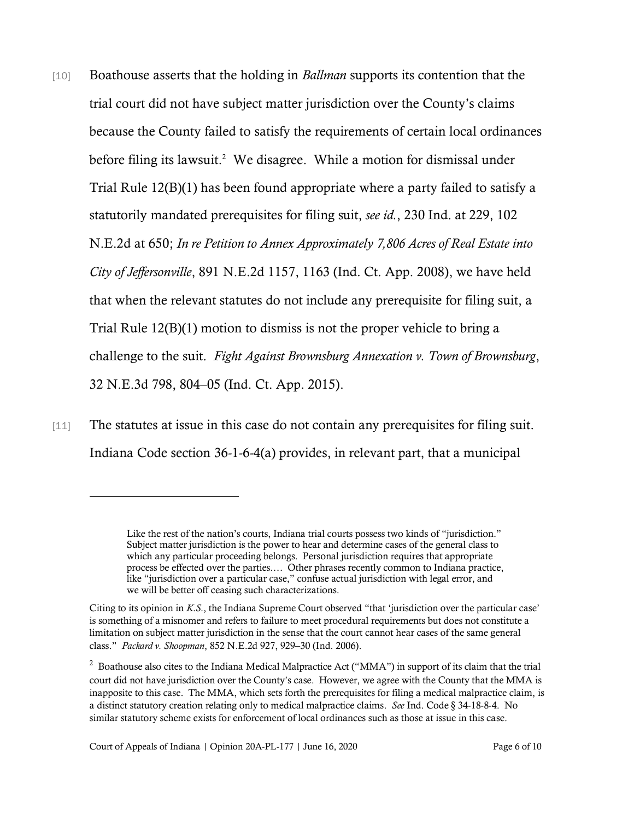- [10] Boathouse asserts that the holding in *Ballman* supports its contention that the trial court did not have subject matter jurisdiction over the County's claims because the County failed to satisfy the requirements of certain local ordinances before filing its lawsuit.<sup>2</sup> We disagree. While a motion for dismissal under Trial Rule 12(B)(1) has been found appropriate where a party failed to satisfy a statutorily mandated prerequisites for filing suit, *see id.*, 230 Ind. at 229, 102 N.E.2d at 650; *In re Petition to Annex Approximately 7,806 Acres of Real Estate into City of Jeffersonville*, 891 N.E.2d 1157, 1163 (Ind. Ct. App. 2008), we have held that when the relevant statutes do not include any prerequisite for filing suit, a Trial Rule 12(B)(1) motion to dismiss is not the proper vehicle to bring a challenge to the suit. *Fight Against Brownsburg Annexation v. Town of Brownsburg*, 32 N.E.3d 798, 804–05 (Ind. Ct. App. 2015).
- [11] The statutes at issue in this case do not contain any prerequisites for filing suit. Indiana Code section 36-1-6-4(a) provides, in relevant part, that a municipal

Like the rest of the nation's courts, Indiana trial courts possess two kinds of "jurisdiction." Subject matter jurisdiction is the power to hear and determine cases of the general class to which any particular proceeding belongs. Personal jurisdiction requires that appropriate process be effected over the parties.… Other phrases recently common to Indiana practice, like "jurisdiction over a particular case," confuse actual jurisdiction with legal error, and we will be better off ceasing such characterizations.

Citing to its opinion in *K.S.*, the Indiana Supreme Court observed "that 'jurisdiction over the particular case' is something of a misnomer and refers to failure to meet procedural requirements but does not constitute a limitation on subject matter jurisdiction in the sense that the court cannot hear cases of the same general class." *Packard v. Shoopman*, 852 N.E.2d 927, 929–30 (Ind. 2006).

<sup>&</sup>lt;sup>2</sup> Boathouse also cites to the Indiana Medical Malpractice Act ("MMA") in support of its claim that the trial court did not have jurisdiction over the County's case. However, we agree with the County that the MMA is inapposite to this case. The MMA, which sets forth the prerequisites for filing a medical malpractice claim, is a distinct statutory creation relating only to medical malpractice claims. *See* Ind. Code § 34-18-8-4. No similar statutory scheme exists for enforcement of local ordinances such as those at issue in this case.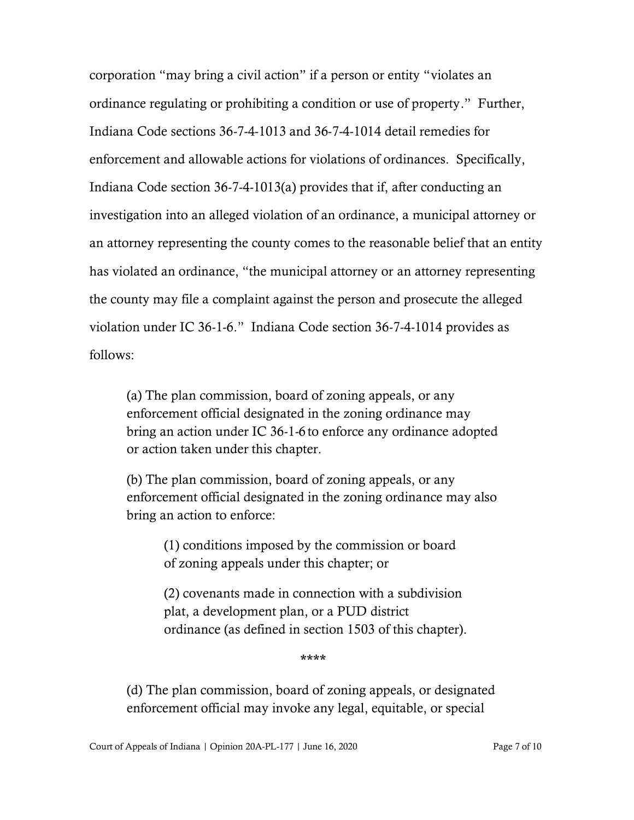corporation "may bring a civil action" if a person or entity "violates an ordinance regulating or prohibiting a condition or use of property." Further, Indiana Code sections 36-7-4-1013 and 36-7-4-1014 detail remedies for enforcement and allowable actions for violations of ordinances. Specifically, Indiana Code section 36-7-4-1013(a) provides that if, after conducting an investigation into an alleged violation of an ordinance, a municipal attorney or an attorney representing the county comes to the reasonable belief that an entity has violated an ordinance, "the municipal attorney or an attorney representing the county may file a complaint against the person and prosecute the alleged violation under IC 36-1-6." Indiana Code section 36-7-4-1014 provides as follows:

(a) The plan commission, board of zoning appeals, or any enforcement official designated in the zoning ordinance may bring an action under IC 36-1-6 to enforce any ordinance adopted or action taken under this chapter.

(b) The plan commission, board of zoning appeals, or any enforcement official designated in the zoning ordinance may also bring an action to enforce:

(1) conditions imposed by the commission or board of zoning appeals under this chapter; or

(2) covenants made in connection with a subdivision plat, a development plan, or a PUD district ordinance (as defined in section 1503 of this chapter).

\*\*\*\*

(d) The plan commission, board of zoning appeals, or designated enforcement official may invoke any legal, equitable, or special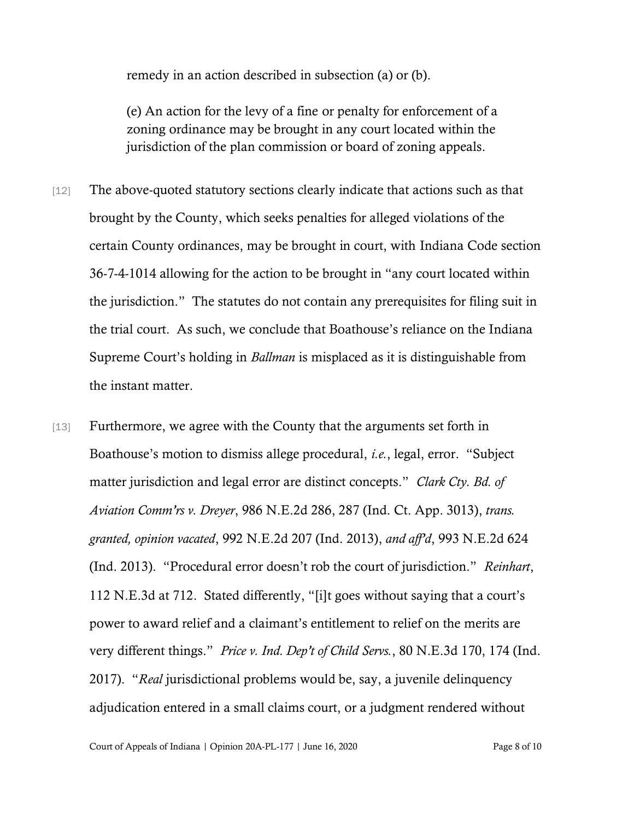remedy in an action described in subsection (a) or (b).

(e) An action for the levy of a fine or penalty for enforcement of a zoning ordinance may be brought in any court located within the jurisdiction of the plan commission or board of zoning appeals.

- [12] The above-quoted statutory sections clearly indicate that actions such as that brought by the County, which seeks penalties for alleged violations of the certain County ordinances, may be brought in court, with Indiana Code section 36-7-4-1014 allowing for the action to be brought in "any court located within the jurisdiction." The statutes do not contain any prerequisites for filing suit in the trial court. As such, we conclude that Boathouse's reliance on the Indiana Supreme Court's holding in *Ballman* is misplaced as it is distinguishable from the instant matter.
- [13] Furthermore, we agree with the County that the arguments set forth in Boathouse's motion to dismiss allege procedural, *i.e.*, legal, error. "Subject matter jurisdiction and legal error are distinct concepts." *Clark Cty. Bd. of Aviation Comm'rs v. Dreyer*, 986 N.E.2d 286, 287 (Ind. Ct. App. 3013), *trans. granted, opinion vacated*, 992 N.E.2d 207 (Ind. 2013), *and aff'd*, 993 N.E.2d 624 (Ind. 2013). "Procedural error doesn't rob the court of jurisdiction." *Reinhart*, 112 N.E.3d at 712. Stated differently, "[i]t goes without saying that a court's power to award relief and a claimant's entitlement to relief on the merits are very different things." *Price v. Ind. Dep't of Child Servs.*, 80 N.E.3d 170, 174 (Ind. 2017). "*Real* jurisdictional problems would be, say, a juvenile delinquency adjudication entered in a small claims court, or a judgment rendered without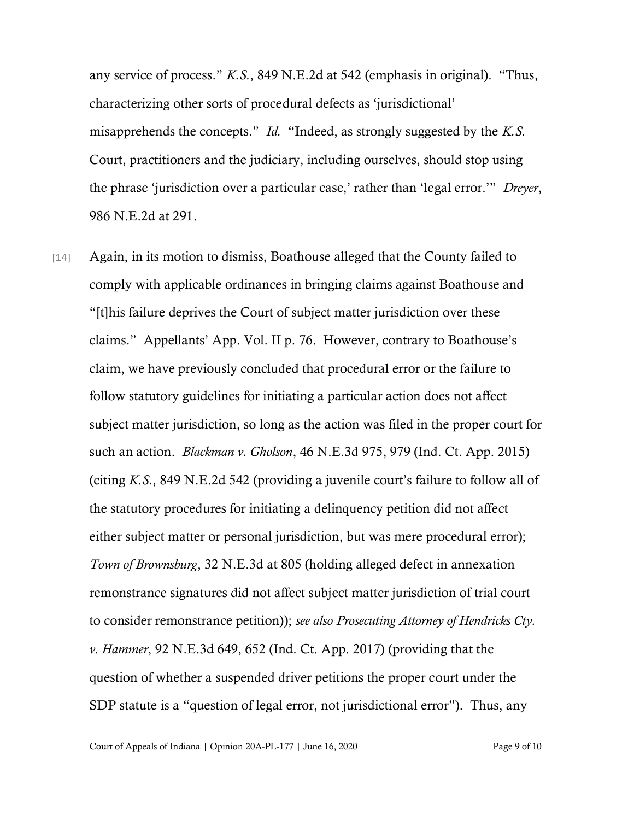any service of process." *K.S.*, 849 N.E.2d at 542 (emphasis in original). "Thus, characterizing other sorts of procedural defects as 'jurisdictional' misapprehends the concepts." *Id.* "Indeed, as strongly suggested by the *K.S.* Court, practitioners and the judiciary, including ourselves, should stop using the phrase 'jurisdiction over a particular case,' rather than 'legal error.'" *Dreyer*, 986 N.E.2d at 291.

[14] Again, in its motion to dismiss, Boathouse alleged that the County failed to comply with applicable ordinances in bringing claims against Boathouse and "[t]his failure deprives the Court of subject matter jurisdiction over these claims." Appellants' App. Vol. II p. 76. However, contrary to Boathouse's claim, we have previously concluded that procedural error or the failure to follow statutory guidelines for initiating a particular action does not affect subject matter jurisdiction, so long as the action was filed in the proper court for such an action. *Blackman v. Gholson*, 46 N.E.3d 975, 979 (Ind. Ct. App. 2015) (citing *K.S.*, 849 N.E.2d 542 (providing a juvenile court's failure to follow all of the statutory procedures for initiating a delinquency petition did not affect either subject matter or personal jurisdiction, but was mere procedural error); *Town of Brownsburg*, 32 N.E.3d at 805 (holding alleged defect in annexation remonstrance signatures did not affect subject matter jurisdiction of trial court to consider remonstrance petition)); *see also Prosecuting Attorney of Hendricks Cty. v. Hammer*, 92 N.E.3d 649, 652 (Ind. Ct. App. 2017) (providing that the question of whether a suspended driver petitions the proper court under the SDP statute is a "question of legal error, not jurisdictional error"). Thus, any